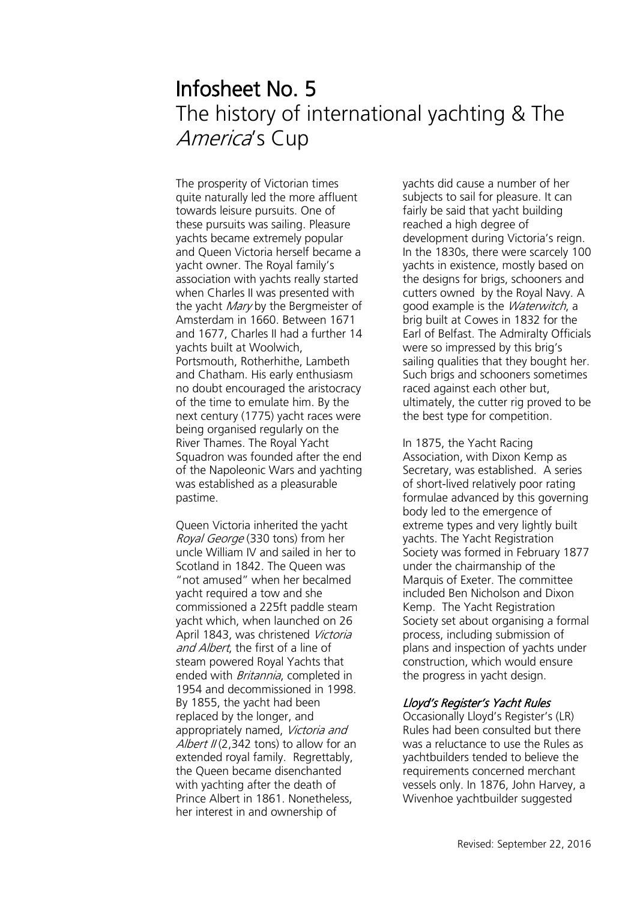# Infosheet No. 5 The history of international yachting & The America's Cup

The prosperity of Victorian times quite naturally led the more affluent towards leisure pursuits. One of these pursuits was sailing. Pleasure yachts became extremely popular and Queen Victoria herself became a yacht owner. The Royal family's association with yachts really started when Charles II was presented with the yacht *Mary* by the Bergmeister of Amsterdam in 1660. Between 1671 and 1677, Charles II had a further 14 yachts built at Woolwich, Portsmouth, Rotherhithe, Lambeth and Chatham. His early enthusiasm no doubt encouraged the aristocracy of the time to emulate him. By the next century (1775) yacht races were being organised regularly on the River Thames. The Royal Yacht Squadron was founded after the end of the Napoleonic Wars and yachting was established as a pleasurable pastime.

Queen Victoria inherited the yacht Royal George (330 tons) from her uncle William IV and sailed in her to Scotland in 1842. The Queen was "not amused" when her becalmed yacht required a tow and she commissioned a 225ft paddle steam yacht which, when launched on 26 April 1843, was christened Victoria and Albert, the first of a line of steam powered Royal Yachts that ended with Britannia, completed in 1954 and decommissioned in 1998. By 1855, the yacht had been replaced by the longer, and appropriately named, Victoria and Albert  $II(2,342 \text{ tons})$  to allow for an extended royal family. Regrettably, the Queen became disenchanted with yachting after the death of Prince Albert in 1861. Nonetheless, her interest in and ownership of

yachts did cause a number of her subjects to sail for pleasure. It can fairly be said that yacht building reached a high degree of development during Victoria's reign. In the 1830s, there were scarcely 100 yachts in existence, mostly based on the designs for brigs, schooners and cutters owned by the Royal Navy. A good example is the *Waterwitch*, a brig built at Cowes in 1832 for the Earl of Belfast. The Admiralty Officials were so impressed by this brig's sailing qualities that they bought her. Such brigs and schooners sometimes raced against each other but, ultimately, the cutter rig proved to be the best type for competition.

In 1875, the Yacht Racing Association, with Dixon Kemp as Secretary, was established. A series of short-lived relatively poor rating formulae advanced by this governing body led to the emergence of extreme types and very lightly built yachts. The Yacht Registration Society was formed in February 1877 under the chairmanship of the Marquis of Exeter. The committee included Ben Nicholson and Dixon Kemp. The Yacht Registration Society set about organising a formal process, including submission of plans and inspection of yachts under construction, which would ensure the progress in yacht design.

## Lloyd's Register's Yacht Rules

Occasionally Lloyd's Register's (LR) Rules had been consulted but there was a reluctance to use the Rules as yachtbuilders tended to believe the requirements concerned merchant vessels only. In 1876, John Harvey, a Wivenhoe yachtbuilder suggested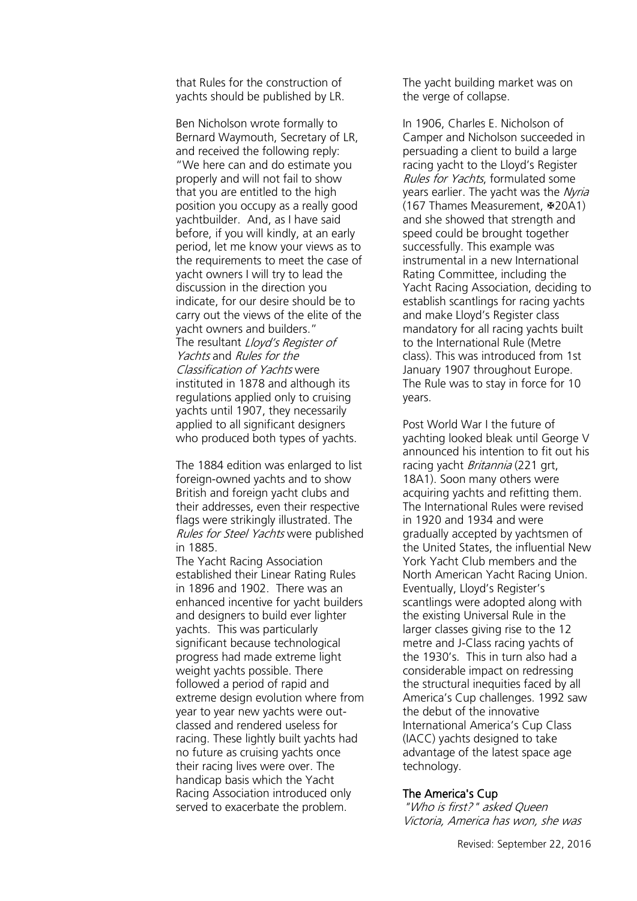that Rules for the construction of yachts should be published by LR.

Ben Nicholson wrote formally to Bernard Waymouth, Secretary of LR, and received the following reply: "We here can and do estimate you properly and will not fail to show that you are entitled to the high position you occupy as a really good yachtbuilder. And, as I have said before, if you will kindly, at an early period, let me know your views as to the requirements to meet the case of yacht owners I will try to lead the discussion in the direction you indicate, for our desire should be to carry out the views of the elite of the yacht owners and builders." The resultant *Lloyd's Register of* Yachts and Rules for the Classification of Yachts were instituted in 1878 and although its regulations applied only to cruising yachts until 1907, they necessarily applied to all significant designers who produced both types of yachts.

The 1884 edition was enlarged to list foreign-owned yachts and to show British and foreign yacht clubs and their addresses, even their respective flags were strikingly illustrated. The Rules for Steel Yachts were published in 1885.

The Yacht Racing Association established their Linear Rating Rules in 1896 and 1902. There was an enhanced incentive for yacht builders and designers to build ever lighter yachts. This was particularly significant because technological progress had made extreme light weight yachts possible. There followed a period of rapid and extreme design evolution where from year to year new yachts were outclassed and rendered useless for racing. These lightly built yachts had no future as cruising yachts once their racing lives were over. The handicap basis which the Yacht Racing Association introduced only served to exacerbate the problem.

The yacht building market was on the verge of collapse.

In 1906, Charles E. Nicholson of Camper and Nicholson succeeded in persuading a client to build a large racing yacht to the Lloyd's Register Rules for Yachts, formulated some years earlier. The yacht was the Nyria (167 Thames Measurement, #20A1) and she showed that strength and speed could be brought together successfully. This example was instrumental in a new International Rating Committee, including the Yacht Racing Association, deciding to establish scantlings for racing yachts and make Lloyd's Register class mandatory for all racing yachts built to the International Rule (Metre class). This was introduced from 1st January 1907 throughout Europe. The Rule was to stay in force for 10 years.

Post World War I the future of yachting looked bleak until George V announced his intention to fit out his racing yacht *Britannia* (221 grt) 18A1). Soon many others were acquiring yachts and refitting them. The International Rules were revised in 1920 and 1934 and were gradually accepted by yachtsmen of the United States, the influential New York Yacht Club members and the North American Yacht Racing Union. Eventually, Lloyd's Register's scantlings were adopted along with the existing Universal Rule in the larger classes giving rise to the 12 metre and J-Class racing yachts of the 1930's. This in turn also had a considerable impact on redressing the structural inequities faced by all America's Cup challenges. 1992 saw the debut of the innovative International America's Cup Class (IACC) yachts designed to take advantage of the latest space age technology.

### The America's Cup

"Who is first?" asked Queen Victoria, America has won, she was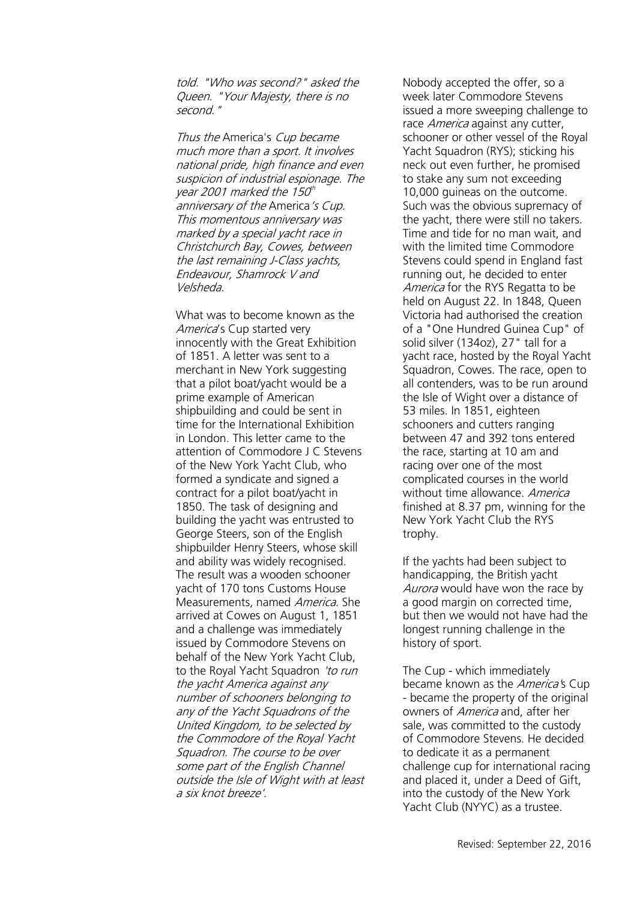told. "Who was second?" asked the Queen. "Your Majesty, there is no second."

Thus the America's Cup became much more than a sport. It involves national pride, high finance and even suspicion of industrial espionage. The year 2001 marked the 150<sup>th</sup> anniversary of the America's Cup. This momentous anniversary was marked by a special yacht race in Christchurch Bay, Cowes, between the last remaining J-Class yachts, Endeavour, Shamrock V and Velsheda.

What was to become known as the America's Cup started very innocently with the Great Exhibition of 1851. A letter was sent to a merchant in New York suggesting that a pilot boat/yacht would be a prime example of American shipbuilding and could be sent in time for the International Exhibition in London. This letter came to the attention of Commodore J C Stevens of the New York Yacht Club, who formed a syndicate and signed a contract for a pilot boat/yacht in 1850. The task of designing and building the yacht was entrusted to George Steers, son of the English shipbuilder Henry Steers, whose skill and ability was widely recognised. The result was a wooden schooner yacht of 170 tons Customs House Measurements, named America. She arrived at Cowes on August 1, 1851 and a challenge was immediately issued by Commodore Stevens on behalf of the New York Yacht Club, to the Royal Yacht Squadron 'to run the yacht America against any number of schooners belonging to any of the Yacht Squadrons of the United Kingdom, to be selected by the Commodore of the Royal Yacht Squadron. The course to be over some part of the English Channel outside the Isle of Wight with at least a six knot breeze'.

Nobody accepted the offer, so a week later Commodore Stevens issued a more sweeping challenge to race America against any cutter, schooner or other vessel of the Royal Yacht Squadron (RYS); sticking his neck out even further, he promised to stake any sum not exceeding 10,000 guineas on the outcome. Such was the obvious supremacy of the yacht, there were still no takers. Time and tide for no man wait, and with the limited time Commodore Stevens could spend in England fast running out, he decided to enter America for the RYS Regatta to be held on August 22. In 1848, Queen Victoria had authorised the creation of a "One Hundred Guinea Cup" of solid silver (134oz), 27" tall for a yacht race, hosted by the Royal Yacht Squadron, Cowes. The race, open to all contenders, was to be run around the Isle of Wight over a distance of 53 miles. In 1851, eighteen schooners and cutters ranging between 47 and 392 tons entered the race, starting at 10 am and racing over one of the most complicated courses in the world without time allowance. America finished at 8.37 pm, winning for the New York Yacht Club the RYS trophy.

If the yachts had been subject to handicapping, the British yacht Aurora would have won the race by a good margin on corrected time, but then we would not have had the longest running challenge in the history of sport.

The Cup - which immediately became known as the America's Cup - became the property of the original owners of America and, after her sale, was committed to the custody of Commodore Stevens. He decided to dedicate it as a permanent challenge cup for international racing and placed it, under a Deed of Gift, into the custody of the New York Yacht Club (NYYC) as a trustee.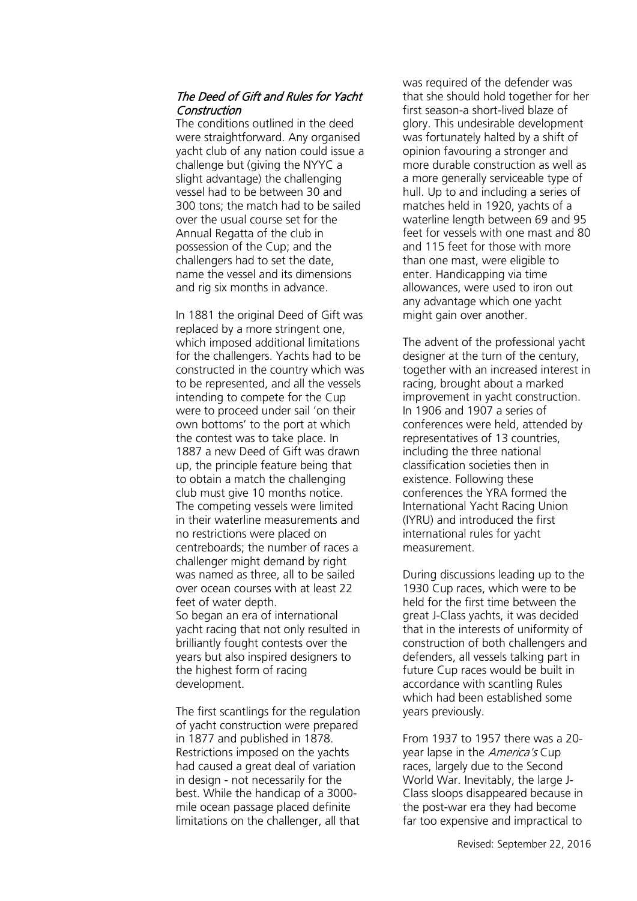# The Deed of Gift and Rules for Yacht Construction

The conditions outlined in the deed were straightforward. Any organised yacht club of any nation could issue a challenge but (giving the NYYC a slight advantage) the challenging vessel had to be between 30 and 300 tons; the match had to be sailed over the usual course set for the Annual Regatta of the club in possession of the Cup; and the challengers had to set the date, name the vessel and its dimensions and rig six months in advance.

In 1881 the original Deed of Gift was replaced by a more stringent one, which imposed additional limitations for the challengers. Yachts had to be constructed in the country which was to be represented, and all the vessels intending to compete for the Cup were to proceed under sail 'on their own bottoms' to the port at which the contest was to take place. In 1887 a new Deed of Gift was drawn up, the principle feature being that to obtain a match the challenging club must give 10 months notice. The competing vessels were limited in their waterline measurements and no restrictions were placed on centreboards; the number of races a challenger might demand by right was named as three, all to be sailed over ocean courses with at least 22 feet of water depth. So began an era of international yacht racing that not only resulted in brilliantly fought contests over the years but also inspired designers to the highest form of racing development.

The first scantlings for the regulation of yacht construction were prepared in 1877 and published in 1878. Restrictions imposed on the yachts had caused a great deal of variation in design - not necessarily for the best. While the handicap of a 3000 mile ocean passage placed definite limitations on the challenger, all that was required of the defender was that she should hold together for her first season-a short-lived blaze of glory. This undesirable development was fortunately halted by a shift of opinion favouring a stronger and more durable construction as well as a more generally serviceable type of hull. Up to and including a series of matches held in 1920, yachts of a waterline length between 69 and 95 feet for vessels with one mast and 80 and 115 feet for those with more than one mast, were eligible to enter. Handicapping via time allowances, were used to iron out any advantage which one yacht might gain over another.

The advent of the professional yacht designer at the turn of the century, together with an increased interest in racing, brought about a marked improvement in yacht construction. In 1906 and 1907 a series of conferences were held, attended by representatives of 13 countries, including the three national classification societies then in existence. Following these conferences the YRA formed the International Yacht Racing Union (IYRU) and introduced the first international rules for yacht measurement.

During discussions leading up to the 1930 Cup races, which were to be held for the first time between the great J-Class yachts, it was decided that in the interests of uniformity of construction of both challengers and defenders, all vessels talking part in future Cup races would be built in accordance with scantling Rules which had been established some years previously.

From 1937 to 1957 there was a 20 year lapse in the *America's* Cup races, largely due to the Second World War. Inevitably, the large J-Class sloops disappeared because in the post-war era they had become far too expensive and impractical to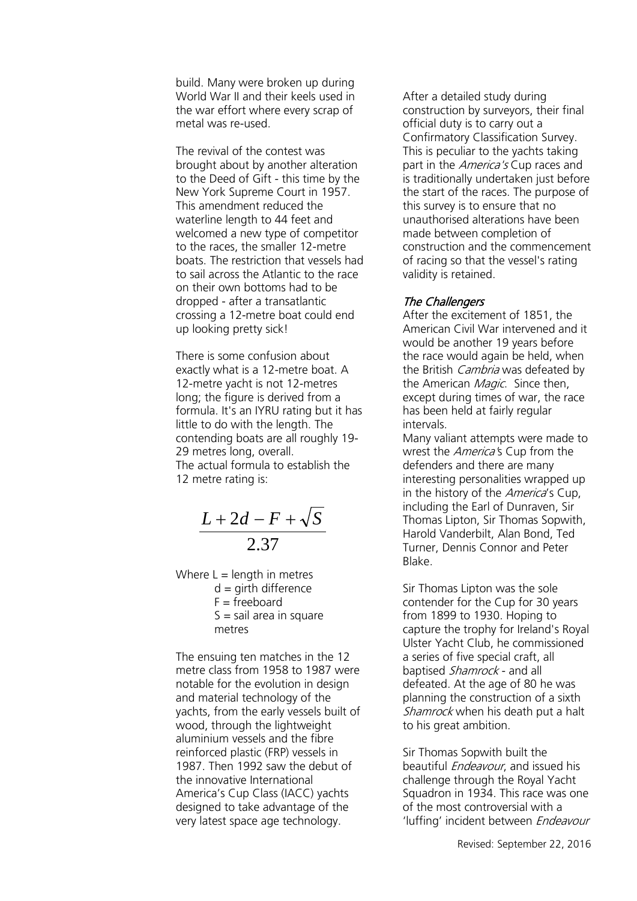build. Many were broken up during World War II and their keels used in the war effort where every scrap of metal was re-used.

The revival of the contest was brought about by another alteration to the Deed of Gift - this time by the New York Supreme Court in 1957. This amendment reduced the waterline length to 44 feet and welcomed a new type of competitor to the races, the smaller 12-metre boats. The restriction that vessels had to sail across the Atlantic to the race on their own bottoms had to be dropped - after a transatlantic crossing a 12-metre boat could end up looking pretty sick!

There is some confusion about exactly what is a 12-metre boat. A 12-metre yacht is not 12-metres long; the figure is derived from a formula. It's an IYRU rating but it has little to do with the length. The contending boats are all roughly 19- 29 metres long, overall. The actual formula to establish the 12 metre rating is:

$$
\frac{L+2d-F+\sqrt{S}}{2.37}
$$

Where  $L =$  length in metres  $d =$  girth difference  $F = freeboard$  $S =$  sail area in square metres

The ensuing ten matches in the 12 metre class from 1958 to 1987 were notable for the evolution in design and material technology of the yachts, from the early vessels built of wood, through the lightweight aluminium vessels and the fibre reinforced plastic (FRP) vessels in 1987. Then 1992 saw the debut of the innovative International America's Cup Class (IACC) yachts designed to take advantage of the very latest space age technology.

After a detailed study during construction by surveyors, their final official duty is to carry out a Confirmatory Classification Survey. This is peculiar to the yachts taking part in the *America's* Cup races and is traditionally undertaken just before the start of the races. The purpose of this survey is to ensure that no unauthorised alterations have been made between completion of construction and the commencement of racing so that the vessel's rating validity is retained.

## The Challengers

After the excitement of 1851, the American Civil War intervened and it would be another 19 years before the race would again be held, when the British *Cambria* was defeated by the American *Magic*. Since then, except during times of war, the race has been held at fairly regular intervals.

Many valiant attempts were made to wrest the *America's* Cup from the defenders and there are many interesting personalities wrapped up in the history of the *America's* Cup, including the Earl of Dunraven, Sir Thomas Lipton, Sir Thomas Sopwith, Harold Vanderbilt, Alan Bond, Ted Turner, Dennis Connor and Peter Blake.

Sir Thomas Lipton was the sole contender for the Cup for 30 years from 1899 to 1930. Hoping to capture the trophy for Ireland's Royal Ulster Yacht Club, he commissioned a series of five special craft, all baptised Shamrock - and all defeated. At the age of 80 he was planning the construction of a sixth Shamrock when his death put a halt to his great ambition.

Sir Thomas Sopwith built the beautiful *Endeavour*, and issued his challenge through the Royal Yacht Squadron in 1934. This race was one of the most controversial with a 'luffing' incident between Endeavour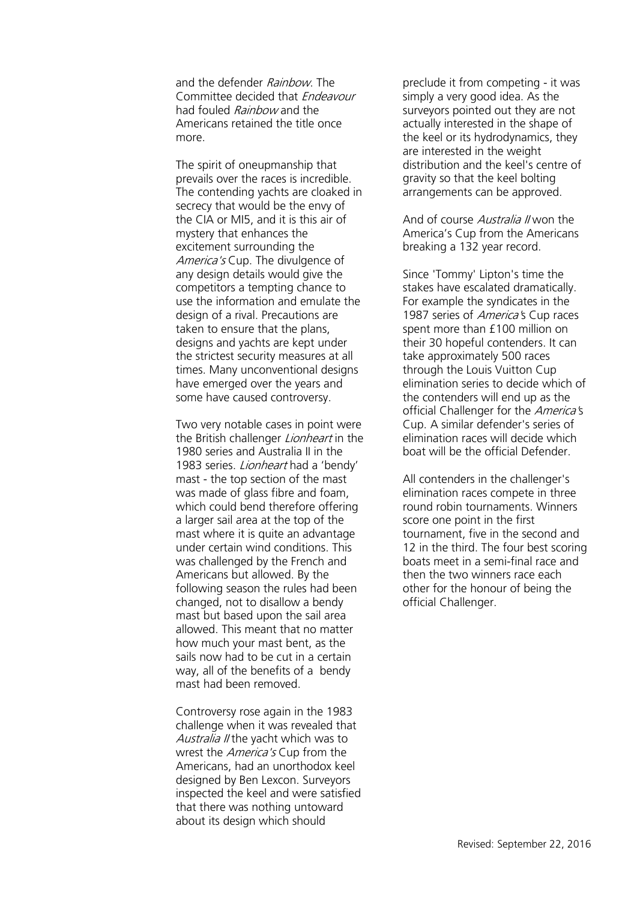and the defender Rainbow. The Committee decided that Endeavour had fouled Rainbow and the Americans retained the title once more.

The spirit of oneupmanship that prevails over the races is incredible. The contending yachts are cloaked in secrecy that would be the envy of the CIA or MI5, and it is this air of mystery that enhances the excitement surrounding the America's Cup. The divulgence of any design details would give the competitors a tempting chance to use the information and emulate the design of a rival. Precautions are taken to ensure that the plans, designs and yachts are kept under the strictest security measures at all times. Many unconventional designs have emerged over the years and some have caused controversy.

Two very notable cases in point were the British challenger *Lionheart* in the 1980 series and Australia II in the 1983 series. *Lionheart* had a 'bendy' mast - the top section of the mast was made of glass fibre and foam, which could bend therefore offering a larger sail area at the top of the mast where it is quite an advantage under certain wind conditions. This was challenged by the French and Americans but allowed. By the following season the rules had been changed, not to disallow a bendy mast but based upon the sail area allowed. This meant that no matter how much your mast bent, as the sails now had to be cut in a certain way, all of the benefits of a bendy mast had been removed.

Controversy rose again in the 1983 challenge when it was revealed that Australia II the yacht which was to wrest the *America's* Cup from the Americans, had an unorthodox keel designed by Ben Lexcon. Surveyors inspected the keel and were satisfied that there was nothing untoward about its design which should

preclude it from competing - it was simply a very good idea. As the surveyors pointed out they are not actually interested in the shape of the keel or its hydrodynamics, they are interested in the weight distribution and the keel's centre of gravity so that the keel bolting arrangements can be approved.

And of course Australia II won the America's Cup from the Americans breaking a 132 year record.

Since 'Tommy' Lipton's time the stakes have escalated dramatically. For example the syndicates in the 1987 series of *America'*s Cup races spent more than £100 million on their 30 hopeful contenders. It can take approximately 500 races through the Louis Vuitton Cup elimination series to decide which of the contenders will end up as the official Challenger for the America's Cup. A similar defender's series of elimination races will decide which boat will be the official Defender.

All contenders in the challenger's elimination races compete in three round robin tournaments. Winners score one point in the first tournament, five in the second and 12 in the third. The four best scoring boats meet in a semi-final race and then the two winners race each other for the honour of being the official Challenger.